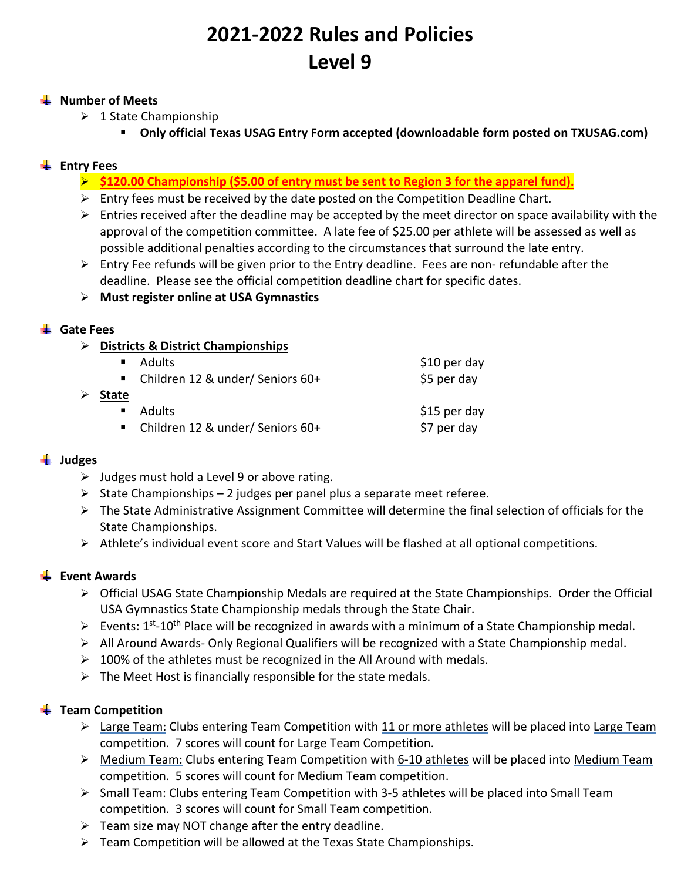# **2021‐2022 Rules and Policies Level 9**

#### **Number of Meets**

- $\geq 1$  State Championship
	- **Only official Texas USAG Entry Form accepted (downloadable form posted on TXUSAG.com)**

# **Entry Fees**

- **\$120.00 Championship (\$5.00 of entry must be sent to Region 3 for the apparel fund).**
- $\triangleright$  Entry fees must be received by the date posted on the Competition Deadline Chart.
- $\triangleright$  Entries received after the deadline may be accepted by the meet director on space availability with the approval of the competition committee. A late fee of \$25.00 per athlete will be assessed as well as possible additional penalties according to the circumstances that surround the late entry.
- $\triangleright$  Entry Fee refunds will be given prior to the Entry deadline. Fees are non-refundable after the deadline. Please see the official competition deadline chart for specific dates.
- **Must register online at USA Gymnastics**

#### **Gate Fees**

**Districts & District Championships** 

|                |               | $$10$ per day                                                                        |
|----------------|---------------|--------------------------------------------------------------------------------------|
|                |               | \$5 per day                                                                          |
| <b>State</b>   |               |                                                                                      |
| $\blacksquare$ | <b>Adults</b> | \$15 per day                                                                         |
|                |               | \$7 per day                                                                          |
|                |               | ■ Adults<br>■ Children 12 & under/ Seniors 60+<br>■ Children 12 & under/ Seniors 60+ |

#### **Judges**

- $\triangleright$  Judges must hold a Level 9 or above rating.
- $\triangleright$  State Championships 2 judges per panel plus a separate meet referee.
- $\triangleright$  The State Administrative Assignment Committee will determine the final selection of officials for the State Championships.
- Athlete's individual event score and Start Values will be flashed at all optional competitions.

#### **Event Awards**

- $\triangleright$  Official USAG State Championship Medals are required at the State Championships. Order the Official USA Gymnastics State Championship medals through the State Chair.
- Events:  $1^{st}$ -10<sup>th</sup> Place will be recognized in awards with a minimum of a State Championship medal.
- $\triangleright$  All Around Awards-Only Regional Qualifiers will be recognized with a State Championship medal.
- $\geq 100\%$  of the athletes must be recognized in the All Around with medals.
- $\triangleright$  The Meet Host is financially responsible for the state medals.

#### **Team Competition**

- $\triangleright$  Large Team: Clubs entering Team Competition with 11 or more athletes will be placed into Large Team competition. 7 scores will count for Large Team Competition.
- Medium Team: Clubs entering Team Competition with 6‐10 athletes will be placed into Medium Team competition. 5 scores will count for Medium Team competition.
- Small Team: Clubs entering Team Competition with 3‐5 athletes will be placed into Small Team competition. 3 scores will count for Small Team competition.
- $\triangleright$  Team size may NOT change after the entry deadline.
- $\triangleright$  Team Competition will be allowed at the Texas State Championships.